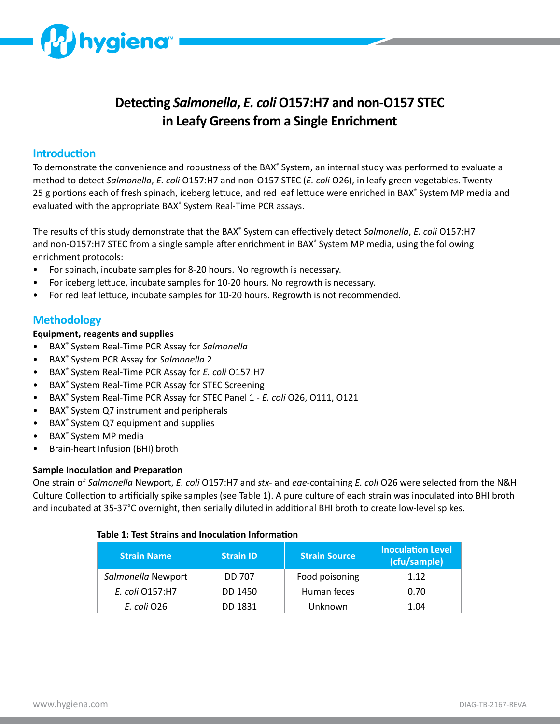

# **Detecting** *Salmonella***,** *E. coli* **O157:H7 and non-O157 STEC in Leafy Greens from a Single Enrichment**

### **Introduction**

To demonstrate the convenience and robustness of the BAX<sup>®</sup> System, an internal study was performed to evaluate a method to detect *Salmonella*, *E. coli* O157:H7 and non-O157 STEC (*E. coli* O26), in leafy green vegetables. Twenty 25 g portions each of fresh spinach, iceberg lettuce, and red leaf lettuce were enriched in BAX<sup>®</sup> System MP media and evaluated with the appropriate BAX<sup>®</sup> System Real-Time PCR assays.

The results of this study demonstrate that the BAX<sup>®</sup> System can effectively detect Salmonella, *E. coli* O157:H7 and non-O157:H7 STEC from a single sample after enrichment in BAX<sup>®</sup> System MP media, using the following enrichment protocols:

- For spinach, incubate samples for 8-20 hours. No regrowth is necessary.
- For iceberg lettuce, incubate samples for 10-20 hours. No regrowth is necessary.
- For red leaf lettuce, incubate samples for 10-20 hours. Regrowth is not recommended.

## **Methodology**

#### **Equipment, reagents and supplies**

- BAX® System Real-Time PCR Assay for *Salmonella*
- BAX® System PCR Assay for *Salmonella* 2
- BAX® System Real-Time PCR Assay for *E. coli* O157:H7
- BAX<sup>®</sup> System Real-Time PCR Assay for STEC Screening
- BAX® System Real-Time PCR Assay for STEC Panel 1 *E. coli* O26, O111, O121
- BAX<sup>®</sup> System Q7 instrument and peripherals
- BAX<sup>®</sup> System Q7 equipment and supplies
- BAX<sup>®</sup> System MP media
- Brain-heart Infusion (BHI) broth

#### **Sample Inoculation and Preparation**

One strain of *Salmonella* Newport, *E. coli* O157:H7 and *stx-* and *eae-*containing *E. coli* O26 were selected from the N&H Culture Collection to artificially spike samples (see Table 1). A pure culture of each strain was inoculated into BHI broth and incubated at 35-37°C overnight, then serially diluted in additional BHI broth to create low-level spikes.

#### **Table 1: Test Strains and Inoculation Information**

| <b>Strain Name</b> | <b>Strain ID</b> | <b>Strain Source</b> | <b>Inoculation Level</b><br>(cfu/sample) |
|--------------------|------------------|----------------------|------------------------------------------|
| Salmonella Newport | <b>DD 707</b>    | Food poisoning       | 1.12                                     |
| E. coli 0157:H7    | DD 1450          | Human feces          | 0.70                                     |
| E. coli O26        | DD 1831          | Unknown              | 1.04                                     |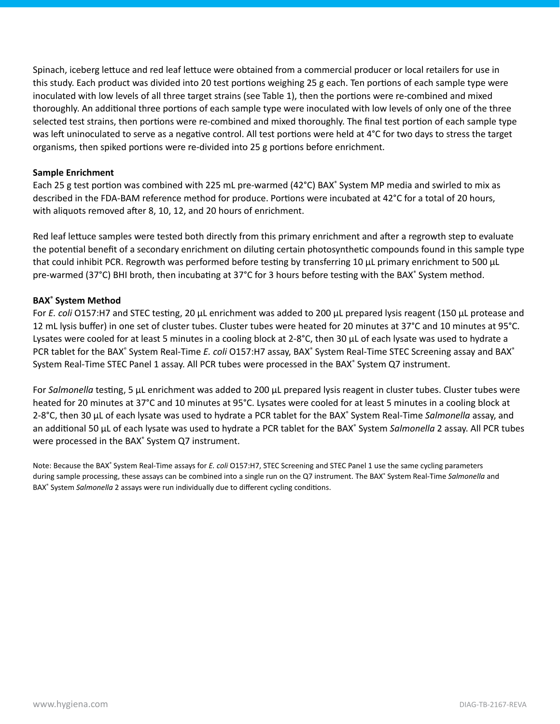Spinach, iceberg lettuce and red leaf lettuce were obtained from a commercial producer or local retailers for use in this study. Each product was divided into 20 test portions weighing 25 g each. Ten portions of each sample type were inoculated with low levels of all three target strains (see Table 1), then the portions were re-combined and mixed thoroughly. An additional three portions of each sample type were inoculated with low levels of only one of the three selected test strains, then portions were re-combined and mixed thoroughly. The final test portion of each sample type was left uninoculated to serve as a negative control. All test portions were held at 4°C for two days to stress the target organisms, then spiked portions were re-divided into 25 g portions before enrichment.

#### **Sample Enrichment**

Each 25 g test portion was combined with 225 mL pre-warmed (42°C) BAX<sup>®</sup> System MP media and swirled to mix as described in the FDA-BAM reference method for produce. Portions were incubated at 42°C for a total of 20 hours, with aliquots removed after 8, 10, 12, and 20 hours of enrichment.

Red leaf lettuce samples were tested both directly from this primary enrichment and after a regrowth step to evaluate the potential benefit of a secondary enrichment on diluting certain photosynthetic compounds found in this sample type that could inhibit PCR. Regrowth was performed before testing by transferring 10 μL primary enrichment to 500 μL pre-warmed (37°C) BHI broth, then incubating at 37°C for 3 hours before testing with the BAX° System method.

#### **BAX® System Method**

For *E. coli* O157:H7 and STEC testing, 20 μL enrichment was added to 200 μL prepared lysis reagent (150 μL protease and 12 mL lysis buffer) in one set of cluster tubes. Cluster tubes were heated for 20 minutes at 37°C and 10 minutes at 95°C. Lysates were cooled for at least 5 minutes in a cooling block at 2-8°C, then 30  $\mu$ L of each lysate was used to hydrate a PCR tablet for the BAX<sup>®</sup> System Real-Time E. coli O157:H7 assay, BAX<sup>®</sup> System Real-Time STEC Screening assay and BAX<sup>®</sup> System Real-Time STEC Panel 1 assay. All PCR tubes were processed in the BAX<sup>®</sup> System Q7 instrument.

For *Salmonella* testing, 5 μL enrichment was added to 200 μL prepared lysis reagent in cluster tubes. Cluster tubes were heated for 20 minutes at 37°C and 10 minutes at 95°C. Lysates were cooled for at least 5 minutes in a cooling block at 2-8°C, then 30 μL of each lysate was used to hydrate a PCR tablet for the BAX® System Real-Time *Salmonella* assay, and an additional 50 μL of each lysate was used to hydrate a PCR tablet for the BAX<sup>®</sup> System Salmonella 2 assay. All PCR tubes were processed in the BAX<sup>®</sup> System Q7 instrument.

Note: Because the BAX<sup>®</sup> System Real-Time assays for *E. coli* O157:H7, STEC Screening and STEC Panel 1 use the same cycling parameters during sample processing, these assays can be combined into a single run on the Q7 instrument. The BAX<sup>®</sup> System Real-Time Salmonella and BAX® System *Salmonella* 2 assays were run individually due to different cycling conditions.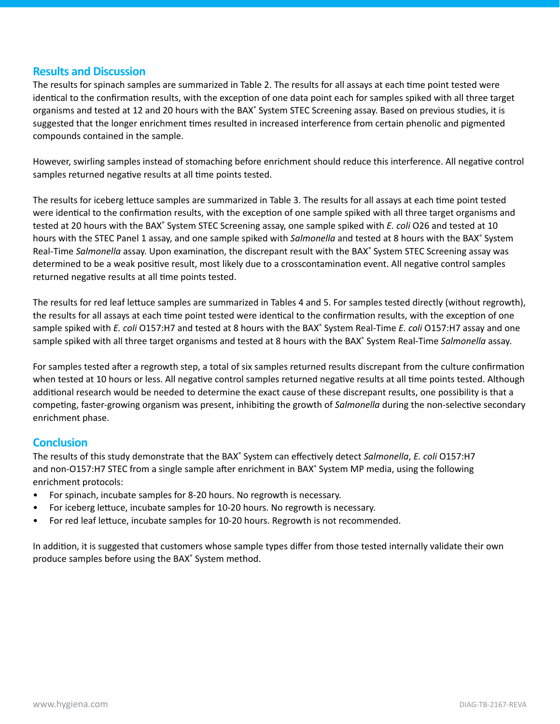## **Results and Discussion**

The results for spinach samples are summarized in Table 2. The results for all assays at each time point tested were identical to the confirmation results, with the exception of one data point each for samples spiked with all three target organisms and tested at 12 and 20 hours with the BAX<sup>®</sup> System STEC Screening assay. Based on previous studies, it is suggested that the longer enrichment times resulted in increased interference from certain phenolic and pigmented compounds contained in the sample.

However, swirling samples instead of stomaching before enrichment should reduce this interference. All negative control samples returned negative results at all time points tested.

The results for iceberg lettuce samples are summarized in Table 3. The results for all assays at each time point tested were identical to the confirmation results, with the exception of one sample spiked with all three target organisms and tested at 20 hours with the BAX<sup>®</sup> System STEC Screening assay, one sample spiked with *E. coli* O26 and tested at 10 hours with the STEC Panel 1 assay, and one sample spiked with Salmonella and tested at 8 hours with the BAX<sup>®</sup> System Real-Time Salmonella assay. Upon examination, the discrepant result with the BAX<sup>®</sup> System STEC Screening assay was determined to be a weak positive result, most likely due to a crosscontamination event. All negative control samples returned negative results at all time points tested.

The results for red leaf lettuce samples are summarized in Tables 4 and 5. For samples tested directly (without regrowth), the results for all assays at each time point tested were identical to the confirmation results, with the exception of one sample spiked with *E. coli* O157:H7 and tested at 8 hours with the BAX<sup>®</sup> System Real-Time *E. coli* O157:H7 assay and one sample spiked with all three target organisms and tested at 8 hours with the BAX<sup>®</sup> System Real-Time Salmonella assay.

For samples tested after a regrowth step, a total of six samples returned results discrepant from the culture confirmation when tested at 10 hours or less. All negative control samples returned negative results at all time points tested. Although additional research would be needed to determine the exact cause of these discrepant results, one possibility is that a competing, faster-growing organism was present, inhibiting the growth of *Salmonella* during the non-selective secondary enrichment phase.

## **Conclusion**

The results of this study demonstrate that the BAX<sup>®</sup> System can effectively detect Salmonella, *E. coli* O157:H7 and non-O157:H7 STEC from a single sample after enrichment in BAX<sup>®</sup> System MP media, using the following enrichment protocols:

- For spinach, incubate samples for 8-20 hours. No regrowth is necessary.
- For iceberg lettuce, incubate samples for 10-20 hours. No regrowth is necessary.
- For red leaf lettuce, incubate samples for 10-20 hours. Regrowth is not recommended.

In addition, it is suggested that customers whose sample types differ from those tested internally validate their own produce samples before using the BAX® System method.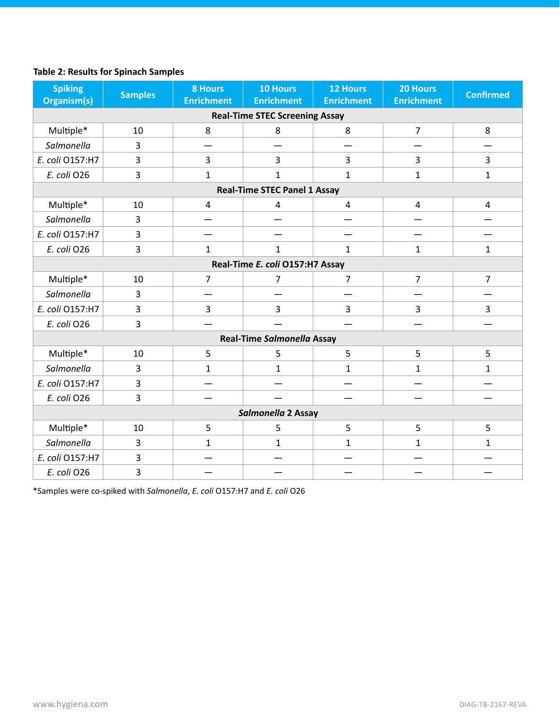# **Table 2: Results for Spinach Samples**

| <b>Spiking</b><br>Organism(s)         | <b>Samples</b> | <b>8 Hours</b><br><b>Enrichment</b> | <b>10 Hours</b><br><b>Enrichment</b> | <b>12 Hours</b><br><b>Enrichment</b> | 20 Hours<br><b>Enrichment</b> | <b>Confirmed</b>        |
|---------------------------------------|----------------|-------------------------------------|--------------------------------------|--------------------------------------|-------------------------------|-------------------------|
| <b>Real-Time STEC Screening Assay</b> |                |                                     |                                      |                                      |                               |                         |
| Multiple*                             | 10             | 8                                   | 8                                    | 8                                    | $\overline{7}$                | 8                       |
| Salmonella                            | 3              |                                     |                                      |                                      |                               |                         |
| E. coli 0157:H7                       | 3              | $\overline{3}$                      | $\overline{3}$                       | 3                                    | $\overline{3}$                | $\overline{3}$          |
| E. coli O26                           | 3              | $\mathbf{1}$                        | $\mathbf{1}$                         | $\mathbf{1}$                         | $\mathbf{1}$                  | $\mathbf{1}$            |
|                                       |                |                                     | <b>Real-Time STEC Panel 1 Assay</b>  |                                      |                               |                         |
| Multiple*                             | 10             | $\pmb{4}$                           | 4                                    | $\overline{4}$                       | $\overline{4}$                | $\overline{\mathbf{4}}$ |
| Salmonella                            | 3              |                                     |                                      |                                      |                               |                         |
| E. coli 0157:H7                       | 3              |                                     |                                      |                                      |                               |                         |
| E. coli O26                           | 3              | $\mathbf{1}$                        | $\mathbf{1}$                         | $\mathbf{1}$                         | 1                             | $\mathbf{1}$            |
|                                       |                |                                     | Real-Time E. coli O157:H7 Assay      |                                      |                               |                         |
| Multiple*                             | 10             | $\overline{7}$                      | 7                                    | $\overline{7}$                       | $\overline{7}$                | $\overline{7}$          |
| Salmonella                            | 3              |                                     |                                      |                                      |                               |                         |
| E. coli 0157:H7                       | 3              | $\overline{3}$                      | 3                                    | 3                                    | $\overline{3}$                | 3                       |
| E. coli O26                           | 3              |                                     |                                      |                                      |                               |                         |
|                                       |                |                                     | Real-Time Salmonella Assay           |                                      |                               |                         |
| Multiple*                             | 10             | 5                                   | 5                                    | 5                                    | 5                             | 5                       |
| Salmonella                            | $\overline{3}$ | $\mathbf{1}$                        | $\mathbf{1}$                         | $\mathbf{1}$                         | $\mathbf{1}$                  | $\mathbf{1}$            |
| E. coli 0157:H7                       | 3              |                                     |                                      |                                      |                               |                         |
| E. coli O26                           | 3              |                                     |                                      |                                      |                               |                         |
| Salmonella 2 Assay                    |                |                                     |                                      |                                      |                               |                         |
| Multiple*                             | 10             | 5                                   | 5                                    | 5                                    | 5                             | 5                       |
| Salmonella                            | 3              | $\mathbf{1}$                        | $\mathbf{1}$                         | $\mathbf{1}$                         | $\mathbf{1}$                  | $\mathbf{1}$            |
| E. coli 0157:H7                       | 3              |                                     |                                      |                                      |                               |                         |
| E. coli O26                           | 3              |                                     |                                      |                                      |                               |                         |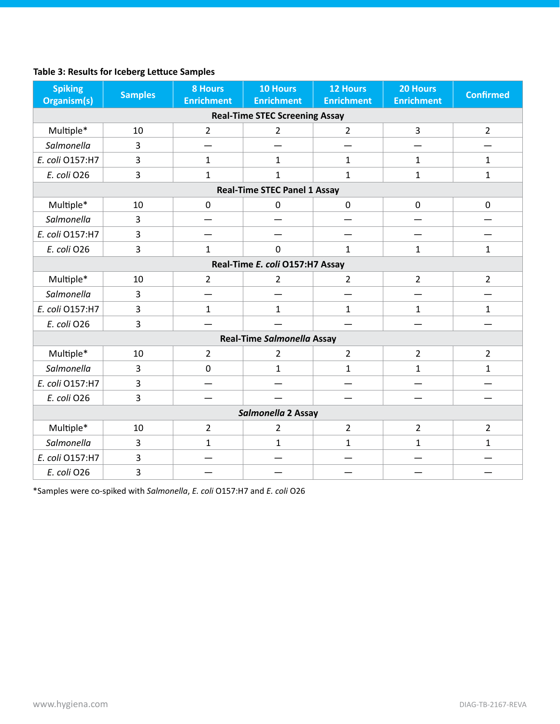# **Table 3: Results for Iceberg Lettuce Samples**

| <b>Spiking</b><br><b>Organism(s)</b> | <b>Samples</b>                        | <b>8 Hours</b><br><b>Enrichment</b> | <b>10 Hours</b><br><b>Enrichment</b> | <b>12 Hours</b><br><b>Enrichment</b> | 20 Hours<br><b>Enrichment</b> | <b>Confirmed</b> |  |
|--------------------------------------|---------------------------------------|-------------------------------------|--------------------------------------|--------------------------------------|-------------------------------|------------------|--|
|                                      | <b>Real-Time STEC Screening Assay</b> |                                     |                                      |                                      |                               |                  |  |
| Multiple*                            | 10                                    | $\overline{2}$                      | $\overline{2}$                       | $\overline{2}$                       | 3                             | $\overline{2}$   |  |
| Salmonella                           | 3                                     |                                     |                                      |                                      |                               |                  |  |
| E. coli 0157:H7                      | 3                                     | $\mathbf{1}$                        | $\mathbf{1}$                         | 1                                    | $\mathbf{1}$                  | $\mathbf{1}$     |  |
| E. coli O26                          | 3                                     | $\mathbf{1}$                        | $\mathbf{1}$                         | $\mathbf{1}$                         | $\mathbf{1}$                  | $\mathbf{1}$     |  |
|                                      |                                       |                                     | <b>Real-Time STEC Panel 1 Assay</b>  |                                      |                               |                  |  |
| Multiple*                            | 10                                    | $\mathbf 0$                         | $\mathbf 0$                          | 0                                    | $\mathbf 0$                   | $\mathbf 0$      |  |
| Salmonella                           | 3                                     |                                     |                                      |                                      |                               |                  |  |
| E. coli 0157:H7                      | 3                                     |                                     |                                      |                                      |                               |                  |  |
| E. coli O26                          | 3                                     | $\mathbf{1}$                        | $\mathbf 0$                          | 1                                    | $\mathbf{1}$                  | $\mathbf{1}$     |  |
|                                      |                                       |                                     | Real-Time E. coli O157:H7 Assay      |                                      |                               |                  |  |
| Multiple*                            | 10                                    | $\overline{2}$                      | 2                                    | $\overline{2}$                       | $\overline{2}$                | $\overline{2}$   |  |
| Salmonella                           | 3                                     |                                     |                                      |                                      |                               |                  |  |
| E. coli 0157:H7                      | 3                                     | $\mathbf{1}$                        | $\mathbf{1}$                         | $\mathbf{1}$                         | $\mathbf{1}$                  | $\mathbf{1}$     |  |
| E. coli O26                          | 3                                     |                                     |                                      |                                      |                               |                  |  |
|                                      |                                       |                                     | Real-Time Salmonella Assay           |                                      |                               |                  |  |
| Multiple*                            | 10                                    | $\overline{2}$                      | 2                                    | $\overline{2}$                       | $\overline{2}$                | $\overline{2}$   |  |
| Salmonella                           | $\overline{3}$                        | $\mathbf 0$                         | $\mathbf{1}$                         | 1                                    | $\mathbf{1}$                  | $\mathbf{1}$     |  |
| E. coli 0157:H7                      | 3                                     |                                     |                                      |                                      |                               |                  |  |
| E. coli O26                          | $\overline{3}$                        |                                     |                                      |                                      |                               |                  |  |
| Salmonella 2 Assay                   |                                       |                                     |                                      |                                      |                               |                  |  |
| Multiple*                            | 10                                    | $\overline{2}$                      | $\overline{2}$                       | $\overline{2}$                       | $\overline{2}$                | $\overline{2}$   |  |
| Salmonella                           | 3                                     | $\mathbf{1}$                        | $\mathbf{1}$                         | $\mathbf{1}$                         | $\mathbf{1}$                  | $\mathbf{1}$     |  |
| E. coli 0157:H7                      | 3                                     |                                     |                                      |                                      |                               |                  |  |
| E. coli O26                          | 3                                     |                                     |                                      |                                      |                               |                  |  |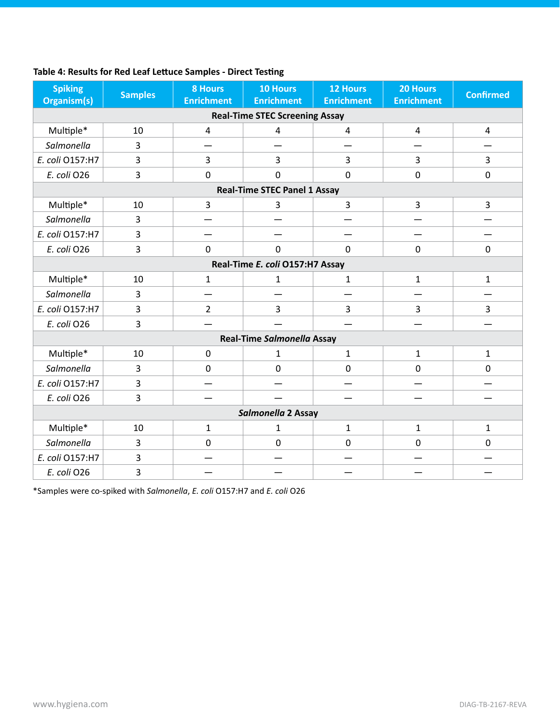| Table 4: Results for Red Leaf Lettuce Samples - Direct Testing |  |
|----------------------------------------------------------------|--|
|----------------------------------------------------------------|--|

| <b>Spiking</b><br>Organism(s)         | <b>Samples</b> | <b>8 Hours</b><br><b>Enrichment</b> | <b>10 Hours</b><br><b>Enrichment</b> | <b>12 Hours</b><br><b>Enrichment</b> | 20 Hours<br><b>Enrichment</b> | <b>Confirmed</b> |
|---------------------------------------|----------------|-------------------------------------|--------------------------------------|--------------------------------------|-------------------------------|------------------|
| <b>Real-Time STEC Screening Assay</b> |                |                                     |                                      |                                      |                               |                  |
| Multiple*                             | 10             | 4                                   | $\overline{4}$                       | $\overline{4}$                       | 4                             | $\overline{4}$   |
| Salmonella                            | 3              |                                     |                                      |                                      |                               |                  |
| E. coli 0157:H7                       | 3              | $\overline{3}$                      | $\overline{3}$                       | 3                                    | $\overline{3}$                | $\overline{3}$   |
| E. coli O26                           | 3              | $\mathbf 0$                         | $\overline{0}$                       | $\mathbf 0$                          | $\mathbf 0$                   | $\mathbf 0$      |
|                                       |                |                                     | <b>Real-Time STEC Panel 1 Assay</b>  |                                      |                               |                  |
| Multiple*                             | 10             | $\overline{3}$                      | 3                                    | 3                                    | 3                             | 3                |
| Salmonella                            | 3              |                                     |                                      |                                      |                               |                  |
| E. coli 0157:H7                       | 3              |                                     |                                      |                                      |                               |                  |
| E. coli O26                           | 3              | $\mathbf 0$                         | $\mathbf 0$                          | $\overline{0}$                       | $\mathbf 0$                   | $\mathbf 0$      |
|                                       |                |                                     | Real-Time E. coli O157:H7 Assay      |                                      |                               |                  |
| Multiple*                             | 10             | $\mathbf{1}$                        | 1                                    | 1                                    | $\mathbf{1}$                  | $\mathbf{1}$     |
| Salmonella                            | 3              |                                     |                                      |                                      |                               |                  |
| E. coli 0157:H7                       | 3              | $\overline{2}$                      | $\overline{3}$                       | $\overline{3}$                       | $\overline{3}$                | $\overline{3}$   |
| E. coli O26                           | 3              |                                     |                                      |                                      |                               |                  |
|                                       |                |                                     | Real-Time Salmonella Assay           |                                      |                               |                  |
| Multiple*                             | 10             | $\mathbf 0$                         | 1                                    | $\mathbf{1}$                         | $\mathbf{1}$                  | $\mathbf{1}$     |
| Salmonella                            | 3              | $\mathbf 0$                         | $\mathbf 0$                          | $\mathbf 0$                          | $\mathbf 0$                   | $\mathbf 0$      |
| E. coli O157:H7                       | 3              |                                     |                                      |                                      |                               |                  |
| E. coli O26                           | 3              |                                     |                                      |                                      |                               |                  |
| Salmonella 2 Assay                    |                |                                     |                                      |                                      |                               |                  |
| Multiple*                             | 10             | $\mathbf{1}$                        | $\mathbf{1}$                         | $\mathbf{1}$                         | $\mathbf{1}$                  | $\mathbf{1}$     |
| Salmonella                            | 3              | $\mathbf 0$                         | $\mathbf 0$                          | $\mathbf 0$                          | $\mathbf 0$                   | $\mathbf 0$      |
| E. coli 0157:H7                       | 3              |                                     |                                      |                                      |                               |                  |
| E. coli O26                           | 3              |                                     |                                      |                                      |                               |                  |